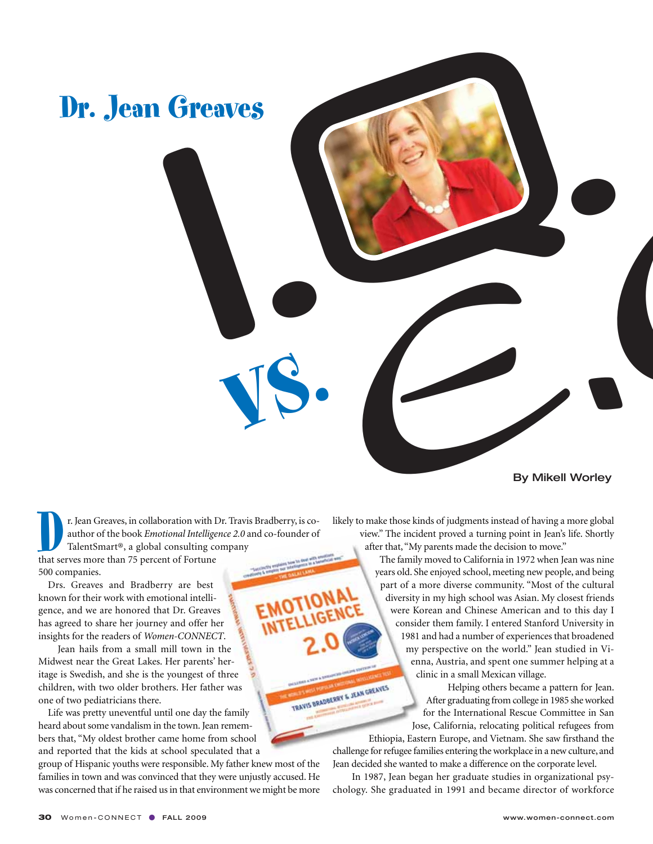

By Mikell Worley

**EXECUTE: The STEAD STATE STATE STATE STATE STATE STATE STATE STATE STATE STATE STATE STATE STATE STATE STATE STATE STATE STATE STATE STATE STATE STATE STATE STATE STATE STATE STATE STATE STATE STATE STATE STATE STATE STAT** author of the book *Emotional Intelligence 2.0* and co-founder of TalentSmart®, a global consulting company that serves more than 75 percent of Fortune 500 companies.

Drs. Greaves and Bradberry are best known for their work with emotional intelligence, and we are honored that Dr. Greaves has agreed to share her journey and offer her insights for the readers of *Women-CONNECT*.

Jean hails from a small mill town in the Midwest near the Great Lakes. Her parents' heritage is Swedish, and she is the youngest of three children, with two older brothers. Her father was one of two pediatricians there.

Life was pretty uneventful until one day the family heard about some vandalism in the town. Jean remembers that, "My oldest brother came home from school and reported that the kids at school speculated that a

group of Hispanic youths were responsible. My father knew most of the families in town and was convinced that they were unjustly accused. He was concerned that if he raised us in that environment we might be more likely to make those kinds of judgments instead of having a more global view." The incident proved a turning point in Jean's life. Shortly after that, "My parents made the decision to move."

The family moved to California in 1972 when Jean was nine years old. She enjoyed school, meeting new people, and being part of a more diverse community. "Most of the cultural diversity in my high school was Asian. My closest friends were Korean and Chinese American and to this day I consider them family. I entered Stanford University in 1981 and had a number of experiences that broadened my perspective on the world." Jean studied in Vienna, Austria, and spent one summer helping at a clinic in a small Mexican village. TRAVIS BRADBERRY & JEAN GREATES

Helping others became a pattern for Jean. After graduating from college in 1985 she worked for the International Rescue Committee in San Jose, California, relocating political refugees from

Ethiopia, Eastern Europe, and Vietnam. She saw firsthand the challenge for refugee families entering the workplace in a new culture, and Jean decided she wanted to make a difference on the corporate level.

In 1987, Jean began her graduate studies in organizational psychology. She graduated in 1991 and became director of workforce